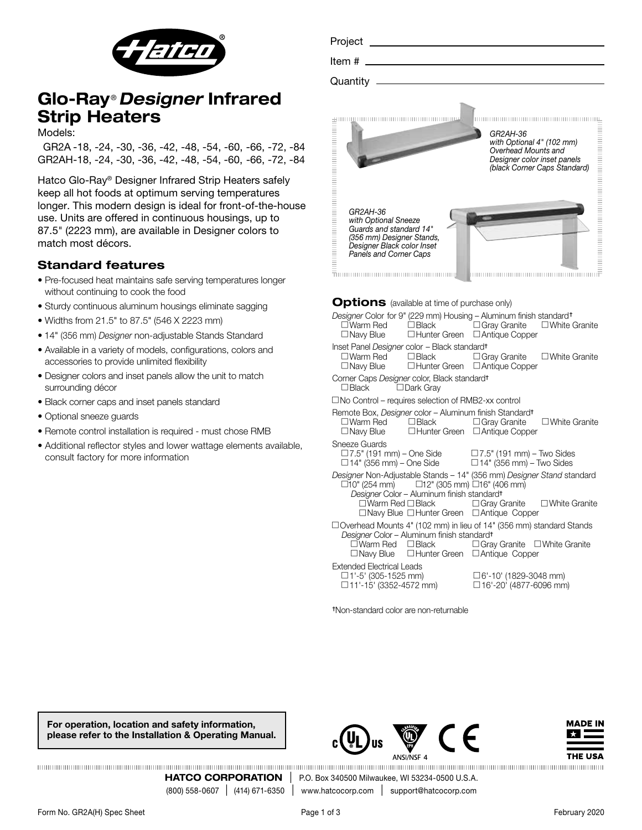

# Glo-Ray ®*Designer* Infrared Strip Heaters

Models:

 GR2A -18, -24, -30, -36, -42, -48, -54, -60, -66, -72, -84 GR2AH-18, -24, -30, -36, -42, -48, -54, -60, -66, -72, -84

Hatco Glo-Ray® Designer Infrared Strip Heaters safely keep all hot foods at optimum serving temperatures longer. This modern design is ideal for front-of-the-house use. Units are offered in continuous housings, up to 87.5" (2223 mm), are available in Designer colors to match most décors.

## Standard features

- Pre-focused heat maintains safe serving temperatures longer without continuing to cook the food
- Sturdy continuous aluminum housings eliminate sagging
- Widths from 21.5" to 87.5" (546 X 2223 mm)
- 14" (356 mm) *Designer* non-adjustable Stands Standard
- Available in a variety of models, configurations, colors and accessories to provide unlimited flexibility
- Designer colors and inset panels allow the unit to match surrounding décor
- Black corner caps and inset panels standard
- Optional sneeze guards
- Remote control installation is required must chose RMB
- Additional reflector styles and lower wattage elements available, consult factory for more information

| Project                                                                                                                                          |                                                                                                                             |
|--------------------------------------------------------------------------------------------------------------------------------------------------|-----------------------------------------------------------------------------------------------------------------------------|
| Item #                                                                                                                                           |                                                                                                                             |
| Quantity                                                                                                                                         |                                                                                                                             |
|                                                                                                                                                  | GR2AH-36<br>with Optional 4" (102 mm)<br>Overhead Mounts and<br>Designer color inset panels<br>(black Corner Caps Standard) |
| GR2AH-36<br>with Optional Sneeze<br>Guards and standard 14"<br>(356 mm) Designer Stands,<br>Designer Black color Inset<br>Panels and Corner Caps |                                                                                                                             |

## **Options** (available at time of purchase only)

| Designer Color for 9" (229 mm) Housing - Aluminum finish standard <sup>†</sup><br>□Navy Blue □Hunter Green □Antique Copper                                                                     | □Warm Red □Black □Gray Granite □White Granite                                     |  |  |  |  |  |  |  |
|------------------------------------------------------------------------------------------------------------------------------------------------------------------------------------------------|-----------------------------------------------------------------------------------|--|--|--|--|--|--|--|
| Inset Panel Designer color - Black standard <sup>t</sup><br>$\Box$ Navy Blue $\Box$ Hunter Green $\Box$ Antique Copper                                                                         | $\square$ Warm Red $\square$ Black $\square$ Gray Granite $\square$ White Granite |  |  |  |  |  |  |  |
| Corner Caps Designer color, Black standard <sup>+</sup><br>$\Box$ Black $\Box$ Dark Gray                                                                                                       |                                                                                   |  |  |  |  |  |  |  |
| $\Box$ No Control – requires selection of RMB2-xx control                                                                                                                                      |                                                                                   |  |  |  |  |  |  |  |
| Remote Box, Designer color - Aluminum finish Standard <sup>+</sup><br>$\Box$ Navy Blue $\Box$ Hunter Green $\Box$ Antique Copper                                                               | $\square$ Warm Red $\square$ Black $\square$ Gray Granite $\square$ White Granite |  |  |  |  |  |  |  |
| Sneeze Guards<br>$\Box$ 7.5" (191 mm) – One Side $\Box$ 7.5" (191 mm) – Two Sides<br>$\Box$ 14" (356 mm) – One Side $\Box$ 14" (356 mm) – Two Sides                                            |                                                                                   |  |  |  |  |  |  |  |
| Designer Non-Adjustable Stands - 14" (356 mm) Designer Stand standard<br>$\Box$ 10" (254 mm) $\Box$ 12" (305 mm) $\Box$ 16" (406 mm)<br>Designer Color - Aluminum finish standard <sup>t</sup> |                                                                                   |  |  |  |  |  |  |  |
| $\Box$ Navy Blue $\Box$ Hunter Green $\Box$ Antique Copper                                                                                                                                     | $\square$ Warm Red $\square$ Black $\square$ Gray Granite $\square$ White Granite |  |  |  |  |  |  |  |
| $\Box$ Overhead Mounts 4" (102 mm) in lieu of 14" (356 mm) standard Stands<br>Designer Color - Aluminum finish standard <sup>+</sup>                                                           |                                                                                   |  |  |  |  |  |  |  |
| $\Box$ Navy Blue $\Box$ Hunter Green $\Box$ Antique Copper                                                                                                                                     | □Warm Red □Black     □Gray Granite □White Granite                                 |  |  |  |  |  |  |  |
| Extended Electrical Leads<br>$\Box$ 1'-5' (305-1525 mm)<br>□ 11'-15' (3352-4572 mm)                                                                                                            | □6'-10' (1829-3048 mm)<br>$\Box$ 16'-20' (4877-6096 mm)                           |  |  |  |  |  |  |  |

†Non-standard color are non-returnable

For operation, location and safety information, please refer to the Installation & Operating Manual.





**HATCO CORPORATION** | P.O. Box 340500 Milwaukee, WI 53234-0500 U.S.A. (800) 558-0607 | (414) 671-6350 | www.hatcocorp.com | support@hatcocorp.com www.hatcocorp.com | support@hatcocorp.com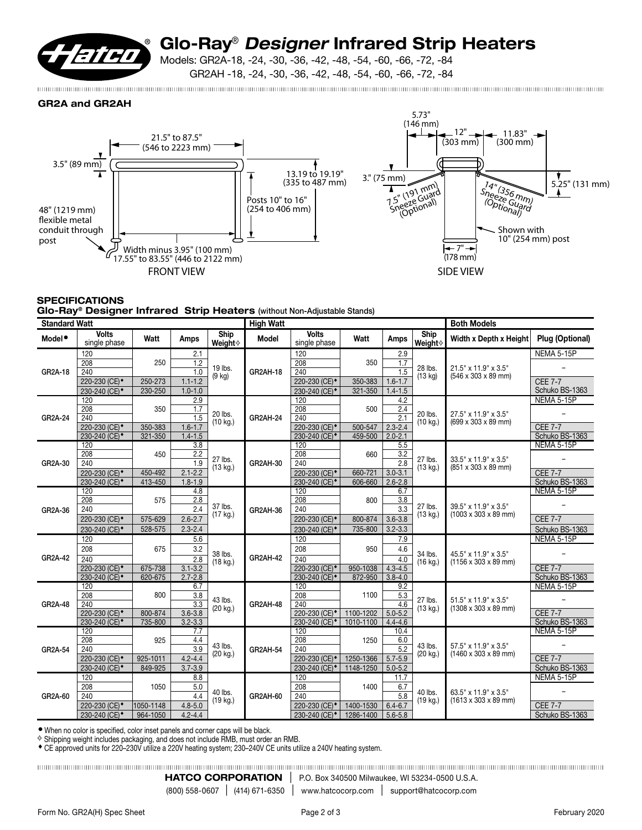

# Glo-Ray® *Designer* Infrared Strip Heaters

Models: GR2A-18, -24, -30, -36, -42, -48, -54, -60, -66, -72, -84 GR2AH -18, -24, -30, -36, -42, -48, -54, -60, -66, -72, -84

GR2A and GR2AH



### **SPECIFICATIONS** Glo-Ray® Designer Infrared Strip Heaters (without Non-Adjustable Stands)

| <b>Standard Watt</b> |                                                        |                       |                            |                               | <b>High Watt</b> |                                                        |                        |                            | <b>Both Models</b>            |                                                                  |                                  |
|----------------------|--------------------------------------------------------|-----------------------|----------------------------|-------------------------------|------------------|--------------------------------------------------------|------------------------|----------------------------|-------------------------------|------------------------------------------------------------------|----------------------------------|
| Model <sup>®</sup>   | <b>Volts</b><br>single phase                           | Watt                  | Amps                       | Ship<br>Weight☆               | Model            | <b>Volts</b><br>single phase                           | Watt                   | Amps                       | Ship<br>Weight☆               | <b>Width x Depth x Height</b>                                    | Plug (Optional)                  |
|                      | 120                                                    |                       | 2.1                        |                               |                  | 120                                                    |                        | 2.9                        |                               |                                                                  | NEMA 5-15P                       |
|                      | 208                                                    | 250                   | 1.2                        | 19 lbs.<br>$(9$ kg)           |                  | $\overline{208}$                                       | 350                    | 1.7                        | 28 lbs.                       | 21.5" x 11.9" x 3.5"                                             |                                  |
| GR2A-18              | 240                                                    |                       | 1.0                        |                               | <b>GR2AH-18</b>  | 240                                                    |                        | 1.5                        | (13 kg)                       | (546 x 303 x 89 mm)                                              |                                  |
|                      | 220-230 (CE) <sup>*</sup>                              | 250-273               | $1.1 - 1.2$                |                               |                  | 220-230 (CE) <sup>*</sup>                              | 350-383                | $1.6 - 1.7$                |                               |                                                                  | <b>CEE 7-7</b>                   |
|                      | 230-240 (CE) <sup>+</sup>                              | 230-250               | $1.0 - 1.0$                |                               |                  | 230-240 (CE) <sup>*</sup>                              | 321-350                | $1.4 - 1.5$                |                               |                                                                  | Schuko BS-1363                   |
|                      | 120<br>208                                             |                       | 2.9                        | 20 lbs.                       | GR2AH-24         | 120<br>208                                             |                        | 4.2                        |                               | 27.5" x 11.9" x 3.5"                                             | NEMA 5-15P                       |
| GR2A-24              | 240                                                    | 350                   | 1.7<br>1.5                 |                               |                  | 240                                                    | 500                    | 2.4<br>$\overline{2.1}$    | 20 lbs.                       |                                                                  |                                  |
|                      | 220-230 (CE) <sup>*</sup>                              | 350-383               | $1.6 - 1.7$                | $(10 \text{ kg.})$            |                  | 220-230 (CE) <sup>*</sup>                              | 500-547                | $2.3 - 2.4$                | (10 kg.)                      | (699 x 303 x 89 mm)                                              | <b>CEE 7-7</b>                   |
|                      | 230-240 (CE) <sup>+</sup>                              | 321-350               | $1.4 - 1.5$                |                               |                  | 230-240 (CE) <sup>*</sup>                              | 459-500                | $2.0 - 2.1$                |                               |                                                                  | Schuko BS-1363                   |
|                      | 120                                                    |                       | 3.8                        |                               |                  | 120                                                    |                        | 5.5                        |                               |                                                                  | <b>NEMA 5-15P</b>                |
|                      | 208                                                    | 450                   | 2.2                        |                               | GR2AH-30         | $\overline{208}$                                       | 660                    | $\overline{3.2}$           | 27 lbs.<br>(13 kg.)           | 33.5" x 11.9" x 3.5"<br>(851 x 303 x 89 mm)                      |                                  |
| GR2A-30              | 240                                                    |                       | 1.9                        | 27 lbs.<br>(13 kg.)           |                  | 240                                                    |                        | 2.8                        |                               |                                                                  |                                  |
|                      | 220-230 (CE) <sup>+</sup>                              | 450-492               | $2.1 - 2.2$                |                               |                  | 220-230 (CE) <sup>*</sup>                              | 660-721                | $3.0 - 3.1$                |                               |                                                                  | <b>CEE 7-7</b>                   |
|                      | 230-240 (CE) <sup>+</sup>                              | 413-450               | $1.8 - 1.9$                |                               |                  | 230-240 (CE) <sup>*</sup>                              | 606-660                | $2.6 - 2.8$                |                               |                                                                  | Schuko BS-1363                   |
|                      | 120                                                    |                       | 4.8                        | 37 lbs.<br>$(17 \text{ kg.})$ |                  | 120                                                    |                        | 6.7                        | 27 lbs.<br>(13 kg.)           | 39.5" x 11.9" x 3.5"<br>$(1003 \times 303 \times 89 \text{ mm})$ | NEMA 5-15P                       |
|                      | 208                                                    | 575                   | 2.8                        |                               |                  | 208                                                    | 800                    | $\overline{3.8}$           |                               |                                                                  |                                  |
| GR2A-36              | 240                                                    |                       | 2.4                        |                               | GR2AH-36         | 240                                                    |                        | 3.3                        |                               |                                                                  |                                  |
|                      | 220-230 (CE) <sup>*</sup>                              | 575-629               | $2.6 - 2.7$                |                               |                  | 220-230 (CE) <sup>*</sup>                              | 800-874                | $3.6 - 3.8$                |                               |                                                                  | <b>CEE 7-7</b>                   |
|                      | 230-240 (CE) <sup>+</sup>                              | 528-575               | $2.3 - 2.4$                |                               |                  | 230-240 (CE) <sup>*</sup>                              | 735-800                | $3.2 - 3.3$                |                               |                                                                  | Schuko BS-1363                   |
|                      | 120                                                    |                       | 5.6                        |                               |                  | 120                                                    |                        | 7.9                        |                               |                                                                  | <b>NEMA 5-15P</b>                |
|                      | 208                                                    | 675                   | 3.2                        | 38 lbs.<br>$(18$ kg.)         |                  | 208                                                    | 950                    | 4.6                        | 34 lbs.                       | 45.5" x 11.9" x 3.5"                                             |                                  |
| GR2A-42              | 240                                                    |                       | 2.8                        |                               | <b>GR2AH-42</b>  | 240                                                    |                        | 4.0                        | (16 kg.)                      | $(1156 \times 303 \times 89 \text{ mm})$                         |                                  |
|                      | 220-230 (CE) <sup>*</sup>                              | 675-738               | $3.1 - 3.2$                |                               |                  | 220-230 (CE) <sup>*</sup>                              | 950-1038               | $4.3 - 4.5$                |                               |                                                                  | <b>CEE 7-7</b>                   |
|                      | 230-240 (CE) <sup>+</sup><br>120                       | 620-675               | $2.7 - 2.8$<br>6.7         |                               |                  | 230-240 (CE) <sup>*</sup><br>120                       | 872-950                | $3.8 - 4.0$<br>9.2         |                               |                                                                  | Schuko BS-1363<br>NEMA 5-15P     |
|                      | 208                                                    | 800                   | $\overline{3.8}$           | 43 lbs.<br>(20 kg.)           |                  | 208                                                    | 1100                   | 5.3                        | 27 lbs.<br>(13 kg.)           | 51.5" x 11.9" x 3.5"<br>$(1308 \times 303 \times 89 \text{ mm})$ |                                  |
| GR2A-48              | 240                                                    |                       | 3.3                        |                               | <b>GR2AH-48</b>  | 240                                                    |                        | 4.6                        |                               |                                                                  |                                  |
|                      | 220-230 (CE) <sup>+</sup>                              | 800-874               | $3.6 - 3.8$                |                               |                  | 220-230 (CE) <sup>*</sup>                              | 1100-1202              | $5.0 - 5.2$                |                               |                                                                  | <b>CEE 7-7</b>                   |
|                      | 230-240 (CE) <sup>+</sup>                              | 735-800               | $3.2 - 3.3$                |                               |                  | 230-240 (CE) <sup>+</sup>                              | 1010-1100              | $4.4 - 4.6$                |                               |                                                                  | Schuko BS-1363                   |
|                      | 120                                                    |                       | 7.7                        | 43 lbs.<br>$(20 \text{ kg.})$ |                  | 120                                                    |                        | 10.4                       |                               | 57.5" x 11.9" x 3.5"<br>$(1460 \times 303 \times 89 \text{ mm})$ | NEMA 5-15P                       |
|                      | 208                                                    | 925                   | 4.4                        |                               |                  | $\overline{208}$                                       | 1250                   | 6.0                        | 43 lbs.<br>$(20 \text{ kg.})$ |                                                                  |                                  |
| GR2A-54              | 240                                                    |                       | 3.9                        |                               | GR2AH-54         | 240                                                    |                        | $\overline{5.2}$           |                               |                                                                  |                                  |
|                      | 220-230 (CE) <sup>*</sup>                              | 925-1011              | $4.2 - 4.4$                |                               |                  | 220-230 (CE) <sup>*</sup>                              | 1250-1366              | $5.7 - 5.9$                |                               |                                                                  | <b>CEE 7-7</b>                   |
|                      | 230-240 (CE) <sup>+</sup>                              | 849-925               | $3.7 - 3.9$                |                               |                  | 230-240 (CE) <sup>*</sup>                              | 1148-1250              | $5.0 - 5.2$                |                               |                                                                  | Schuko BS-1363                   |
|                      | 120                                                    |                       | 8.8                        |                               |                  | 120                                                    |                        | 11.7                       | 40 lbs.                       | 63.5" x 11.9" x 3.5"<br>$(1613 \times 303 \times 89 \text{ mm})$ | NEMA 5-15P                       |
|                      | 208                                                    | 1050                  | 5.0                        | 40 lbs.                       |                  | 208                                                    | 1400                   | 6.7                        |                               |                                                                  |                                  |
| GR2A-60              | 240                                                    |                       | 4.4                        | $(19$ kg.)                    | GR2AH-60         | 240                                                    |                        | 5.8                        | $(19$ kg.)                    |                                                                  |                                  |
|                      | 220-230 (CE) <sup>*</sup><br>230-240 (CE) <sup>+</sup> | 1050-1148<br>964-1050 | $4.8 - 5.0$<br>$4.2 - 4.4$ |                               |                  | 220-230 (CE) <sup>*</sup><br>230-240 (CE) <sup>*</sup> | 1400-1530<br>1286-1400 | $6.4 - 6.7$<br>$5.6 - 5.8$ |                               |                                                                  | <b>CEE 7-7</b><br>Schuko BS-1363 |
|                      |                                                        |                       |                            |                               |                  |                                                        |                        |                            |                               |                                                                  |                                  |

● When no color is specified, color inset panels and corner caps will be black.

 $\diamond$  Shipping weight includes packaging, and does not include RMB, must order an RMB.

◆ CE approved units for 220–230V utilize a 220V heating system; 230–240V CE units utilize a 240V heating system.

**HATCO CORPORATION** | P.O. Box 340500 Milwaukee, WI 53234-0500 U.S.A.<br>(800) 558-0607 | (414) 671-6350 | www.hatcocorp.com | support@hatcocorp.com www.hatcocorp.com | support@hatcocorp.com